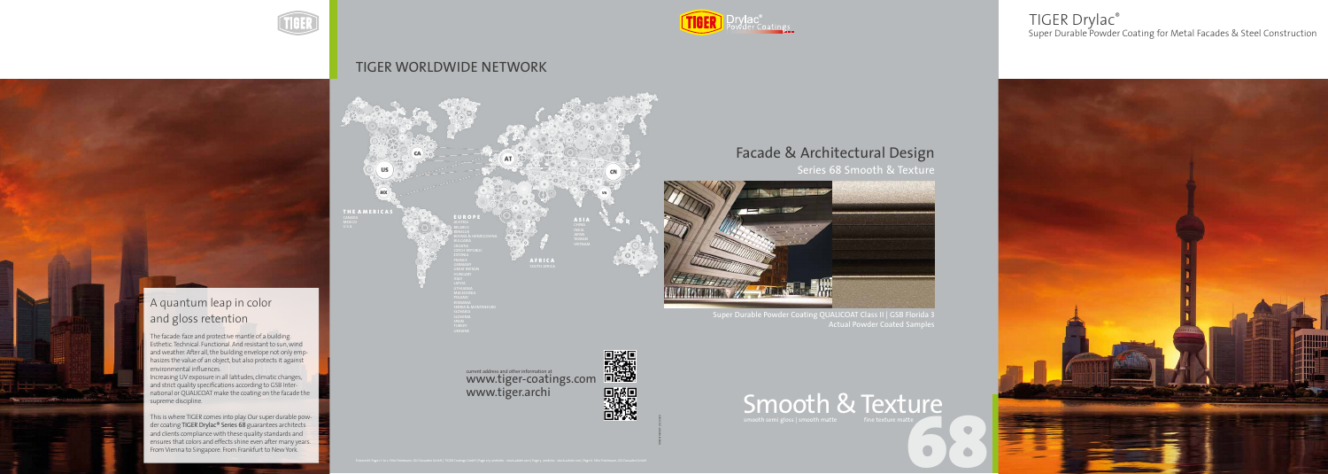998101140087 | 03/2020



# TIGER WORLDWIDE NETWORK

CA

E U R O P E

BELARUS

BOSNIA & HERZEGOVINA

**AFRICA** SOUTH AFRICA

CROATIA CZECH REPUBLIC

FRANCE GERMANY GREAT BRITAIN HUNGARY LATVIA LITHUANIA MACEDONIA POLAND ROMANIA

SERBIA & MONTENEGRO

SLOVAKIA

TURKEY UKRAINE

THE AMERICAS

**US** 

 $(MX)$ 

**MEXICO** 

# A quantum leap in color and gloss retention

A S I A INDIA

VIETNAM



Series 68 Smooth & Texture



Super Durable Powder Coating QUALICOAT Class II | GSB Florida 3 Actual Powder Coated Samples

The facade: face and protective mantle of a building. Esthetic. Technical. Functional. And resistant to sun, wind and weather. After all, the building envelope not only emphasizes the value of an object, but also protects it against The facade: face and protective mantle of a building. Esthetic. Technical. Functional. And resistant to sun, wind environmental influences.

Increasing UV exposure in all latitudes, climatic changes, and strict quality specifications according to GSB Inter- $\hskip1cm$ national or QUALICOAT make the coating on the facade the supreme discipline. Increasing UV exposure in all latitudes, climatic changes, and strict quality specifications according to GSB Inter-

This is where TIGER comes into play. Our super durable powder coating TIGER Drylac® Series 68 guarantees architects and clients compliance with these quality standards and  $\blacksquare$ ensures that colors and effects shine even after many  $\cdot$ From Vienna to Singapore. From Frankfurt to N and clients compliance with these quality standards and ensures that colors and effects shine even after many years. From Vienna to Singapore. From Frankfurt to New York.

current address and other information at current address and other information at www.tiger.archi

Super Durable Powder Coating for Metal Facades & Steel Construction



# TIGER Drylac®



議 **NASE** 

# Facade & Architectural Design